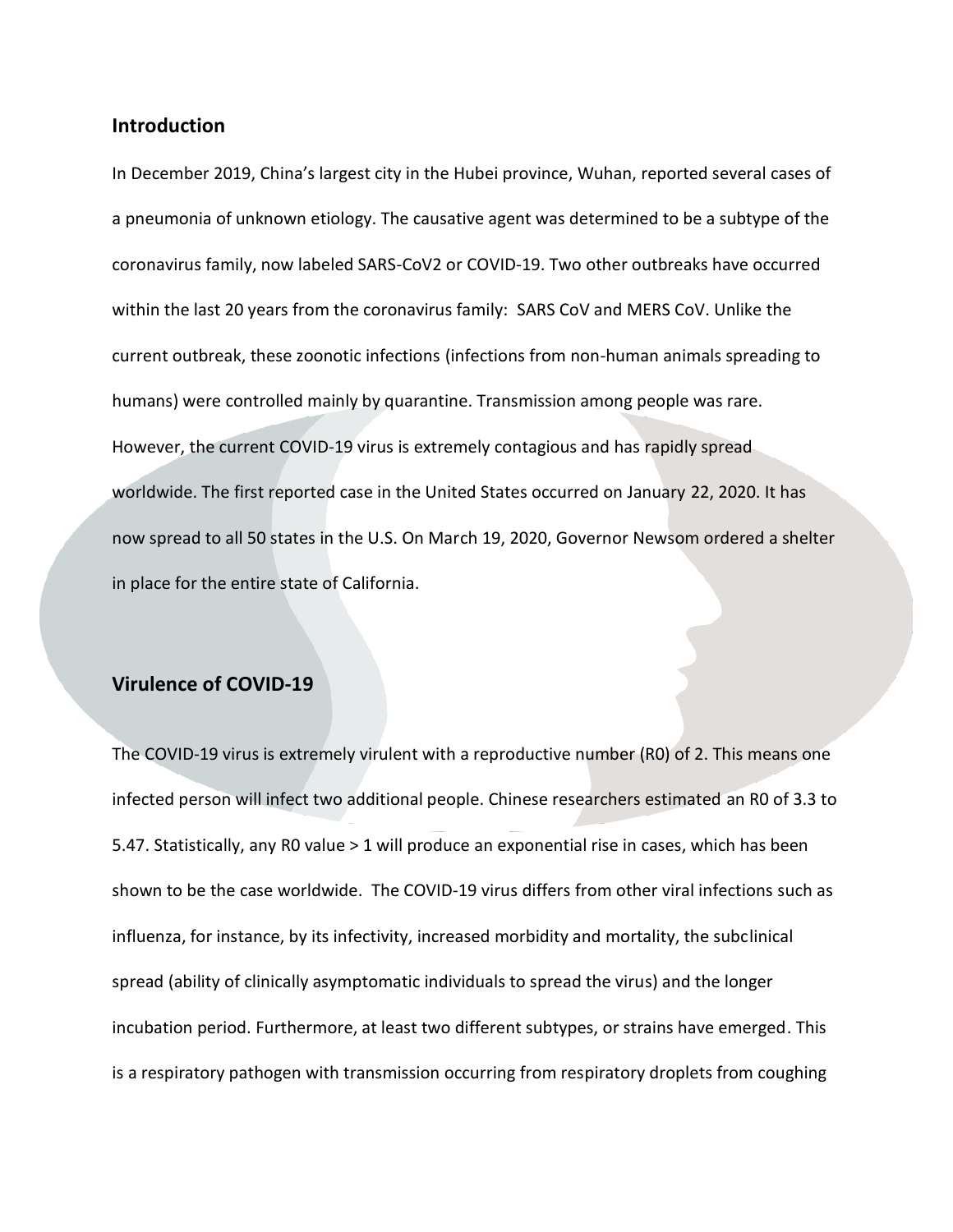#### **Introduction**

In December 2019, China's largest city in the Hubei province, Wuhan, reported several cases of a pneumonia of unknown etiology. The causative agent was determined to be a subtype of the coronavirus family, now labeled SARS-CoV2 or COVID-19. Two other outbreaks have occurred within the last 20 years from the coronavirus family: SARS CoV and MERS CoV. Unlike the current outbreak, these zoonotic infections (infections from non-human animals spreading to humans) were controlled mainly by quarantine. Transmission among people was rare. However, the current COVID-19 virus is extremely contagious and has rapidly spread worldwide. The first reported case in the United States occurred on January 22, 2020. It has now spread to all 50 states in the U.S. On March 19, 2020, Governor Newsom ordered a shelter in place for the entire state of California.

#### **Virulence of COVID-19**

The COVID-19 virus is extremely virulent with a reproductive number (R0) of 2. This means one infected person will infect two additional people. Chinese researchers estimated an R0 of 3.3 to 5.47. Statistically, any R0 value > 1 will produce an exponential rise in cases, which has been shown to be the case worldwide. The COVID-19 virus differs from other viral infections such as influenza, for instance, by its infectivity, increased morbidity and mortality, the subclinical spread (ability of clinically asymptomatic individuals to spread the virus) and the longer incubation period. Furthermore, at least two different subtypes, or strains have emerged. This is a respiratory pathogen with transmission occurring from respiratory droplets from coughing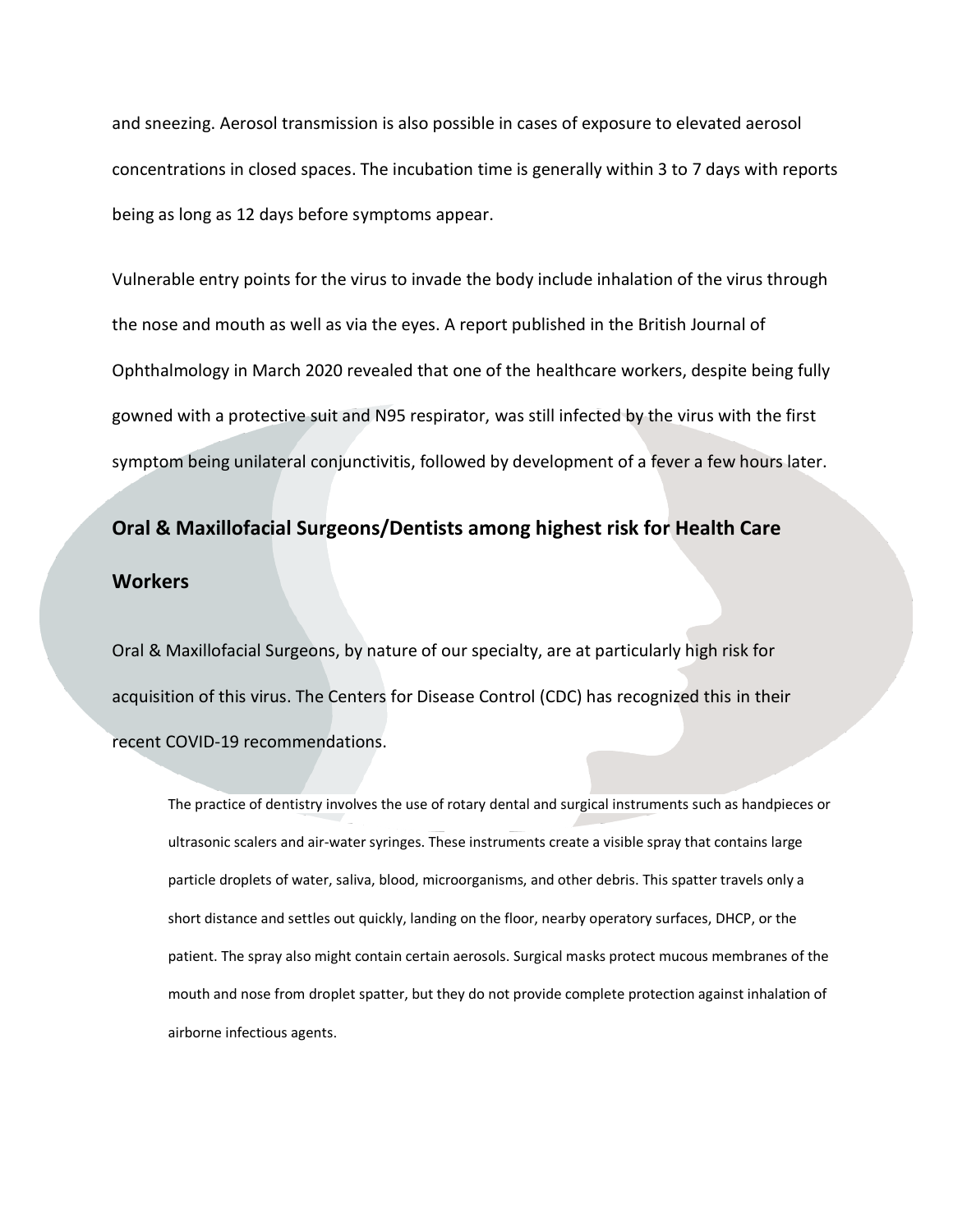and sneezing. Aerosol transmission is also possible in cases of exposure to elevated aerosol concentrations in closed spaces. The incubation time is generally within 3 to 7 days with reports being as long as 12 days before symptoms appear.

Vulnerable entry points for the virus to invade the body include inhalation of the virus through the nose and mouth as well as via the eyes. A report published in the British Journal of Ophthalmology in March 2020 revealed that one of the healthcare workers, despite being fully gowned with a protective suit and N95 respirator, was still infected by the virus with the first symptom being unilateral conjunctivitis, followed by development of a fever a few hours later.

# **Oral & Maxillofacial Surgeons/Dentists among highest risk for Health Care Workers**

Oral & Maxillofacial Surgeons, by nature of our specialty, are at particularly high risk for acquisition of this virus. The Centers for Disease Control (CDC) has recognized this in their recent COVID-19 recommendations.

The practice of dentistry involves the use of rotary dental and surgical instruments such as handpieces or ultrasonic scalers and air-water syringes. These instruments create a visible spray that contains large particle droplets of water, saliva, blood, microorganisms, and other debris. This spatter travels only a short distance and settles out quickly, landing on the floor, nearby operatory surfaces, DHCP, or the patient. The spray also might contain certain aerosols. Surgical masks protect mucous membranes of the mouth and nose from droplet spatter, but they do not provide complete protection against inhalation of airborne infectious agents.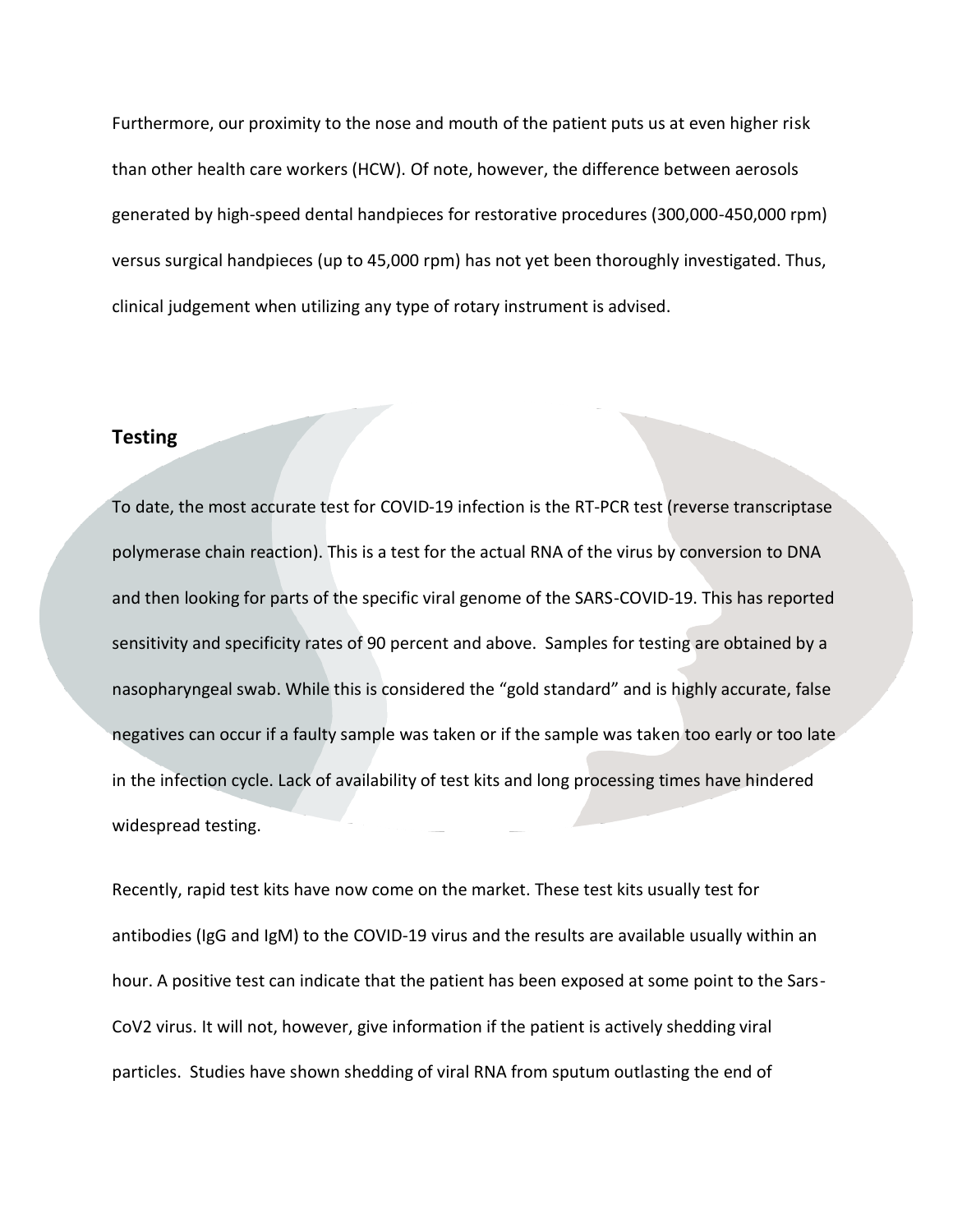Furthermore, our proximity to the nose and mouth of the patient puts us at even higher risk than other health care workers (HCW). Of note, however, the difference between aerosols generated by high-speed dental handpieces for restorative procedures (300,000-450,000 rpm) versus surgical handpieces (up to 45,000 rpm) has not yet been thoroughly investigated. Thus, clinical judgement when utilizing any type of rotary instrument is advised.

#### **Testing**

To date, the most accurate test for COVID-19 infection is the RT-PCR test (reverse transcriptase polymerase chain reaction). This is a test for the actual RNA of the virus by conversion to DNA and then looking for parts of the specific viral genome of the SARS-COVID-19. This has reported sensitivity and specificity rates of 90 percent and above. Samples for testing are obtained by a nasopharyngeal swab. While this is considered the "gold standard" and is highly accurate, false negatives can occur if a faulty sample was taken or if the sample was taken too early or too late in the infection cycle. Lack of availability of test kits and long processing times have hindered widespread testing.

Recently, rapid test kits have now come on the market. These test kits usually test for antibodies (IgG and IgM) to the COVID-19 virus and the results are available usually within an hour. A positive test can indicate that the patient has been exposed at some point to the Sars-CoV2 virus. It will not, however, give information if the patient is actively shedding viral particles. Studies have shown shedding of viral RNA from sputum outlasting the end of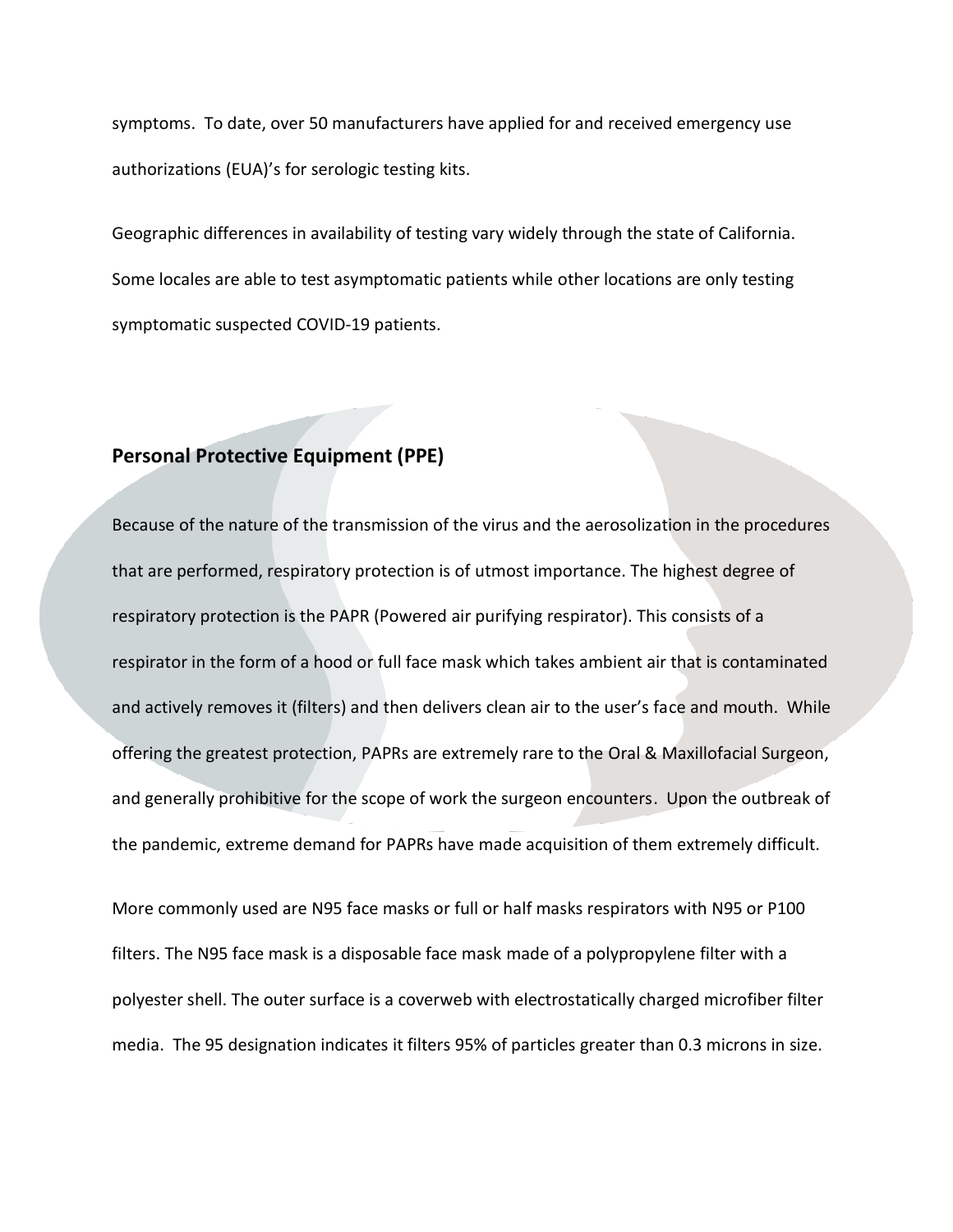symptoms. To date, over 50 manufacturers have applied for and received emergency use authorizations (EUA)'s for serologic testing kits.

Geographic differences in availability of testing vary widely through the state of California. Some locales are able to test asymptomatic patients while other locations are only testing symptomatic suspected COVID-19 patients.

### **Personal Protective Equipment (PPE)**

Because of the nature of the transmission of the virus and the aerosolization in the procedures that are performed, respiratory protection is of utmost importance. The highest degree of respiratory protection is the PAPR (Powered air purifying respirator). This consists of a respirator in the form of a hood or full face mask which takes ambient air that is contaminated and actively removes it (filters) and then delivers clean air to the user's face and mouth. While offering the greatest protection, PAPRs are extremely rare to the Oral & Maxillofacial Surgeon, and generally prohibitive for the scope of work the surgeon encounters. Upon the outbreak of the pandemic, extreme demand for PAPRs have made acquisition of them extremely difficult.

More commonly used are N95 face masks or full or half masks respirators with N95 or P100 filters. The N95 face mask is a disposable face mask made of a polypropylene filter with a polyester shell. The outer surface is a coverweb with electrostatically charged microfiber filter media. The 95 designation indicates it filters 95% of particles greater than 0.3 microns in size.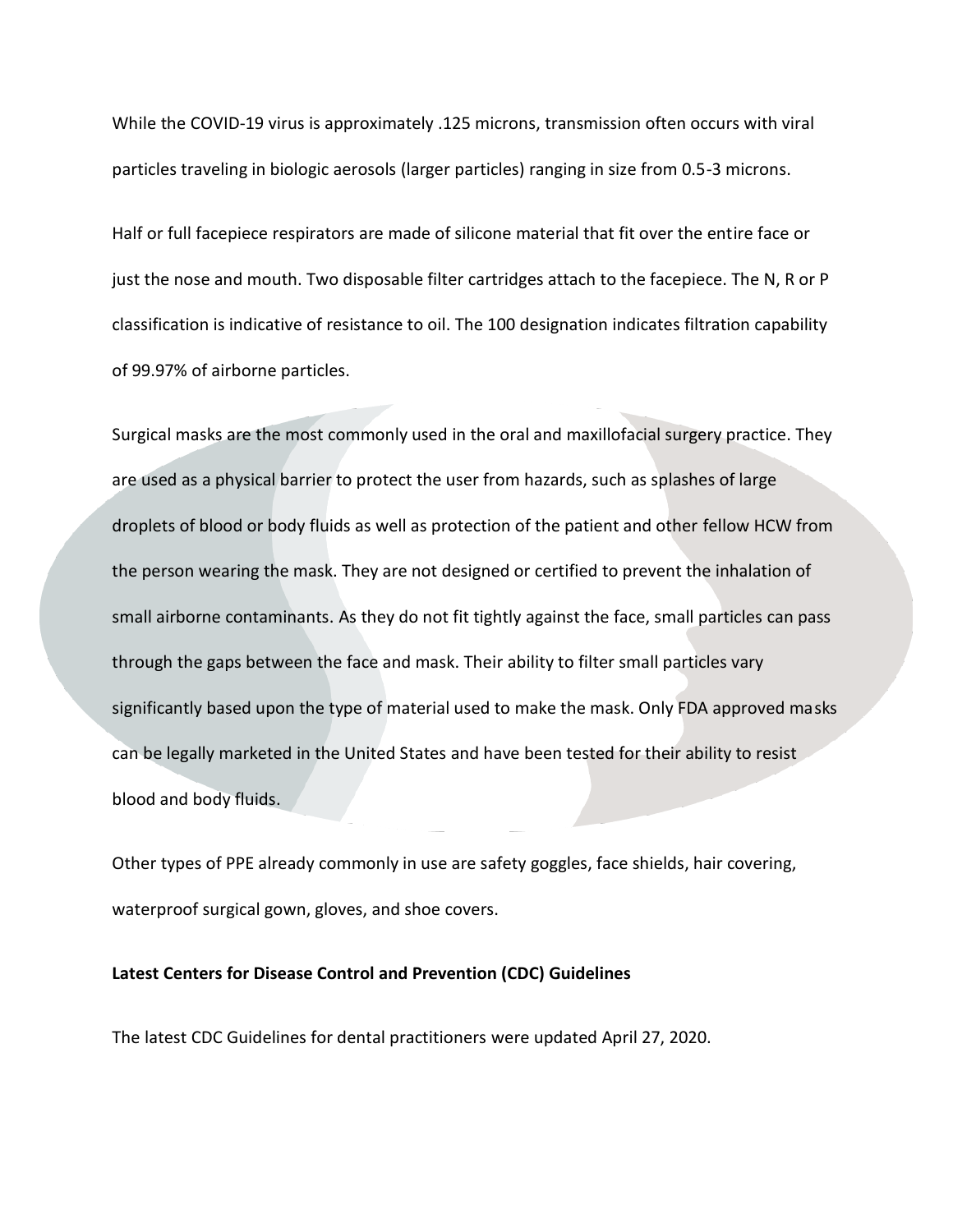While the COVID-19 virus is approximately .125 microns, transmission often occurs with viral particles traveling in biologic aerosols (larger particles) ranging in size from 0.5-3 microns.

Half or full facepiece respirators are made of silicone material that fit over the entire face or just the nose and mouth. Two disposable filter cartridges attach to the facepiece. The N, R or P classification is indicative of resistance to oil. The 100 designation indicates filtration capability of 99.97% of airborne particles.

Surgical masks are the most commonly used in the oral and maxillofacial surgery practice. They are used as a physical barrier to protect the user from hazards, such as splashes of large droplets of blood or body fluids as well as protection of the patient and other fellow HCW from the person wearing the mask. They are not designed or certified to prevent the inhalation of small airborne contaminants. As they do not fit tightly against the face, small particles can pass through the gaps between the face and mask. Their ability to filter small particles vary significantly based upon the type of material used to make the mask. Only FDA approved masks can be legally marketed in the United States and have been tested for their ability to resist blood and body fluids.

Other types of PPE already commonly in use are safety goggles, face shields, hair covering, waterproof surgical gown, gloves, and shoe covers.

#### **Latest Centers for Disease Control and Prevention (CDC) Guidelines**

The latest CDC Guidelines for dental practitioners were updated April 27, 2020.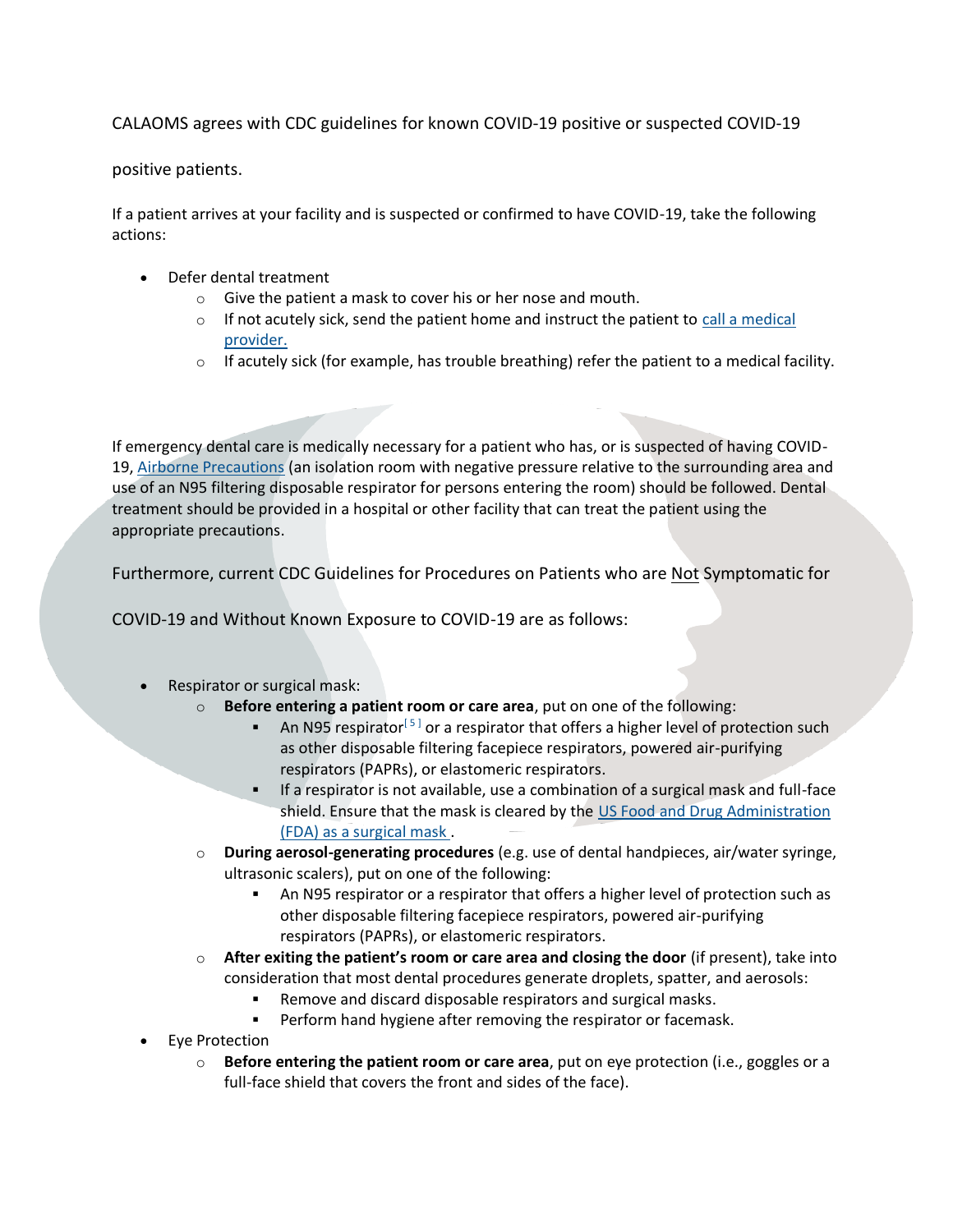CALAOMS agrees with CDC guidelines for known COVID-19 positive or suspected COVID-19

positive patients.

If a patient arrives at your facility and is suspected or confirmed to have COVID-19, take the following actions:

- Defer dental treatment
	- o Give the patient a mask to cover his or her nose and mouth.
	- $\circ$  If not acutely sick, send the patient home and instruct the patient to [call a medical](https://www.cdc.gov/coronavirus/2019-ncov/if-you-are-sick/steps-when-sick.html) [provider.](https://www.cdc.gov/coronavirus/2019-ncov/if-you-are-sick/steps-when-sick.html)
	- $\circ$  If acutely sick (for example, has trouble breathing) refer the patient to a medical facility.

If emergency dental care is medically necessary for a patient who has, or is suspected of having COVID-19, [Airborne Precautions](https://www.cdc.gov/infectioncontrol/basics/transmission-based-precautions.html#anchor_1564058235) (an isolation room with negative pressure relative to the surrounding area and use of an N95 filtering disposable respirator for persons entering the room) should be followed. Dental treatment should be provided in a hospital or other facility that can treat the patient using the appropriate precautions.

Furthermore, current CDC Guidelines for Procedures on Patients who are Not Symptomatic for

COVID-19 and Without Known Exposure to COVID-19 are as follows:

- Respirator or surgical mask:
	- o **Before entering a patient room or care area**, put on one of the following:
		- **■** An N95 respirator<sup>[5]</sup> or a respirator that offers a higher level of protection such as other disposable filtering facepiece respirators, powered air-purifying respirators (PAPRs), or elastomeric respirators.
		- If a respirator is not available, use a combination of a surgical mask and full-face shield. Ensure that the mask is cleared by the US Food and Drug Administration [\(FDA\) as a surgical mask](https://www.fda.gov/regulatory-information/search-fda-guidance-documents/surgical-masks-premarket-notification-510k-submissions#7) .
	- o **During aerosol-generating procedures** (e.g. use of dental handpieces, air/water syringe, ultrasonic scalers), put on one of the following:
		- An N95 respirator or a respirator that offers a higher level of protection such as other disposable filtering facepiece respirators, powered air-purifying respirators (PAPRs), or elastomeric respirators.
	- o **After exiting the patient's room or care area and closing the door** (if present), take into consideration that most dental procedures generate droplets, spatter, and aerosols:
		- Remove and discard disposable respirators and surgical masks.
		- Perform hand hygiene after removing the respirator or facemask.
- Eye Protection
	- o **Before entering the patient room or care area**, put on eye protection (i.e., goggles or a full-face shield that covers the front and sides of the face).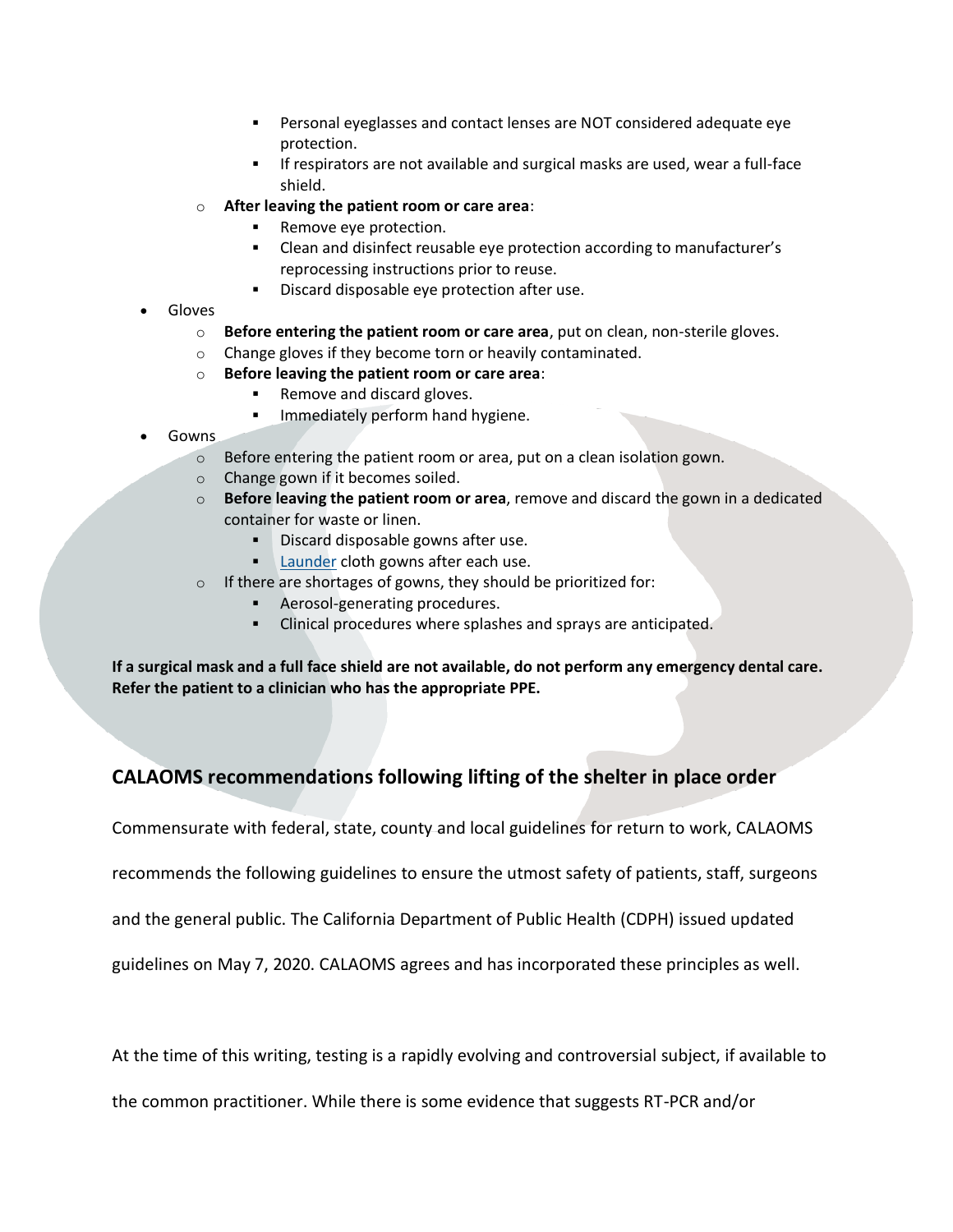- Personal eyeglasses and contact lenses are NOT considered adequate eye protection.
- If respirators are not available and surgical masks are used, wear a full-face shield.
- o **After leaving the patient room or care area**:
	- Remove eye protection.
	- Clean and disinfect reusable eye protection according to manufacturer's reprocessing instructions prior to reuse.
	- Discard disposable eye protection after use.
- Gloves
	- o **Before entering the patient room or care area**, put on clean, non-sterile gloves.
	- o Change gloves if they become torn or heavily contaminated.
	- o **Before leaving the patient room or care area**:
		- Remove and discard gloves.
		- Immediately perform hand hygiene.
- Gowns
	- o Before entering the patient room or area, put on a clean isolation gown.
	- o Change gown if it becomes soiled.
	- o **Before leaving the patient room or area**, remove and discard the gown in a dedicated container for waste or linen.
		- **•** Discard disposable gowns after use.
		- **Example 1** [Launder](https://www.cdc.gov/infectioncontrol/guidelines/environmental/background/laundry.html#g1) cloth gowns after each use.
	- $\circ$  If there are shortages of gowns, they should be prioritized for:
		- Aerosol-generating procedures.
		- Clinical procedures where splashes and sprays are anticipated.

**If a surgical mask and a full face shield are not available, do not perform any emergency dental care. Refer the patient to a clinician who has the appropriate PPE.**

## **CALAOMS recommendations following lifting of the shelter in place order**

Commensurate with federal, state, county and local guidelines for return to work, CALAOMS

recommends the following guidelines to ensure the utmost safety of patients, staff, surgeons

and the general public. The California Department of Public Health (CDPH) issued updated

guidelines on May 7, 2020. CALAOMS agrees and has incorporated these principles as well.

At the time of this writing, testing is a rapidly evolving and controversial subject, if available to

the common practitioner. While there is some evidence that suggests RT-PCR and/or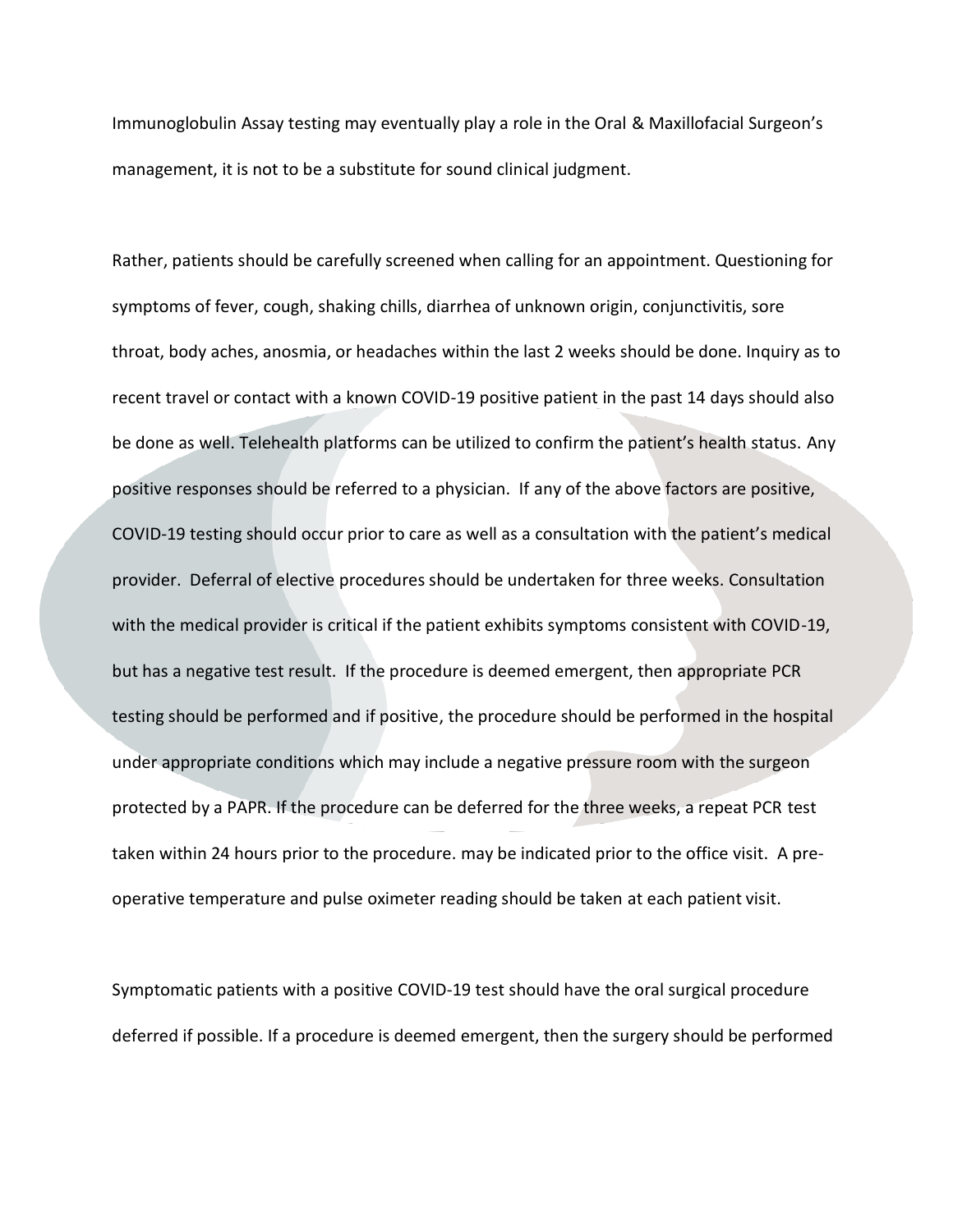Immunoglobulin Assay testing may eventually play a role in the Oral & Maxillofacial Surgeon's management, it is not to be a substitute for sound clinical judgment.

Rather, patients should be carefully screened when calling for an appointment. Questioning for symptoms of fever, cough, shaking chills, diarrhea of unknown origin, conjunctivitis, sore throat, body aches, anosmia, or headaches within the last 2 weeks should be done. Inquiry as to recent travel or contact with a known COVID-19 positive patient in the past 14 days should also be done as well. Telehealth platforms can be utilized to confirm the patient's health status. Any positive responses should be referred to a physician. If any of the above factors are positive, COVID-19 testing should occur prior to care as well as a consultation with the patient's medical provider. Deferral of elective procedures should be undertaken for three weeks. Consultation with the medical provider is critical if the patient exhibits symptoms consistent with COVID-19, but has a negative test result. If the procedure is deemed emergent, then appropriate PCR testing should be performed and if positive, the procedure should be performed in the hospital under appropriate conditions which may include a negative pressure room with the surgeon protected by a PAPR. If the procedure can be deferred for the three weeks, a repeat PCR test taken within 24 hours prior to the procedure. may be indicated prior to the office visit. A preoperative temperature and pulse oximeter reading should be taken at each patient visit.

Symptomatic patients with a positive COVID-19 test should have the oral surgical procedure deferred if possible. If a procedure is deemed emergent, then the surgery should be performed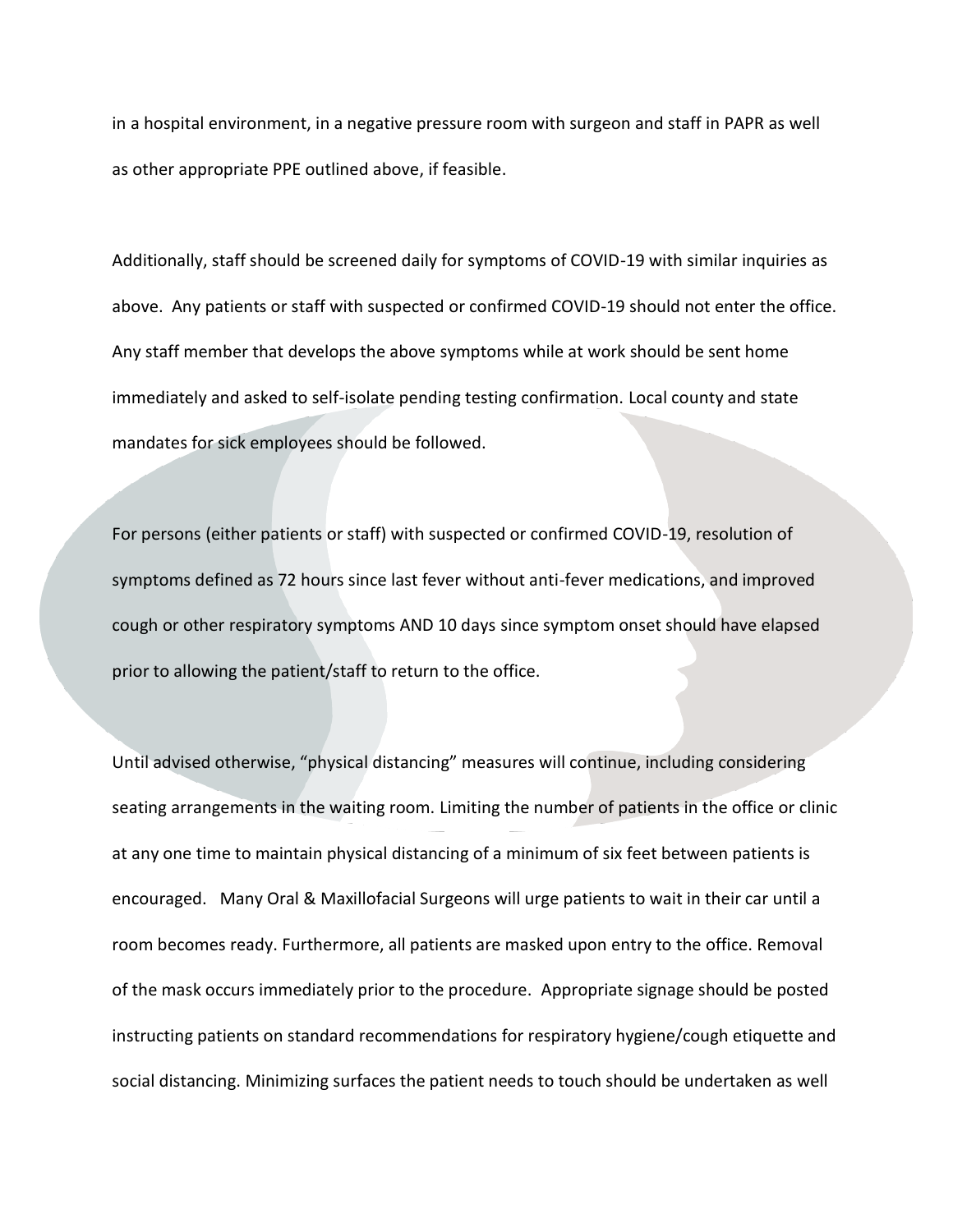in a hospital environment, in a negative pressure room with surgeon and staff in PAPR as well as other appropriate PPE outlined above, if feasible.

Additionally, staff should be screened daily for symptoms of COVID-19 with similar inquiries as above. Any patients or staff with suspected or confirmed COVID-19 should not enter the office. Any staff member that develops the above symptoms while at work should be sent home immediately and asked to self-isolate pending testing confirmation. Local county and state mandates for sick employees should be followed.

For persons (either patients or staff) with suspected or confirmed COVID-19, resolution of symptoms defined as 72 hours since last fever without anti-fever medications, and improved cough or other respiratory symptoms AND 10 days since symptom onset should have elapsed prior to allowing the patient/staff to return to the office.

Until advised otherwise, "physical distancing" measures will continue, including considering seating arrangements in the waiting room. Limiting the number of patients in the office or clinic at any one time to maintain physical distancing of a minimum of six feet between patients is encouraged. Many Oral & Maxillofacial Surgeons will urge patients to wait in their car until a room becomes ready. Furthermore, all patients are masked upon entry to the office. Removal of the mask occurs immediately prior to the procedure. Appropriate signage should be posted instructing patients on standard recommendations for respiratory hygiene/cough etiquette and social distancing. Minimizing surfaces the patient needs to touch should be undertaken as well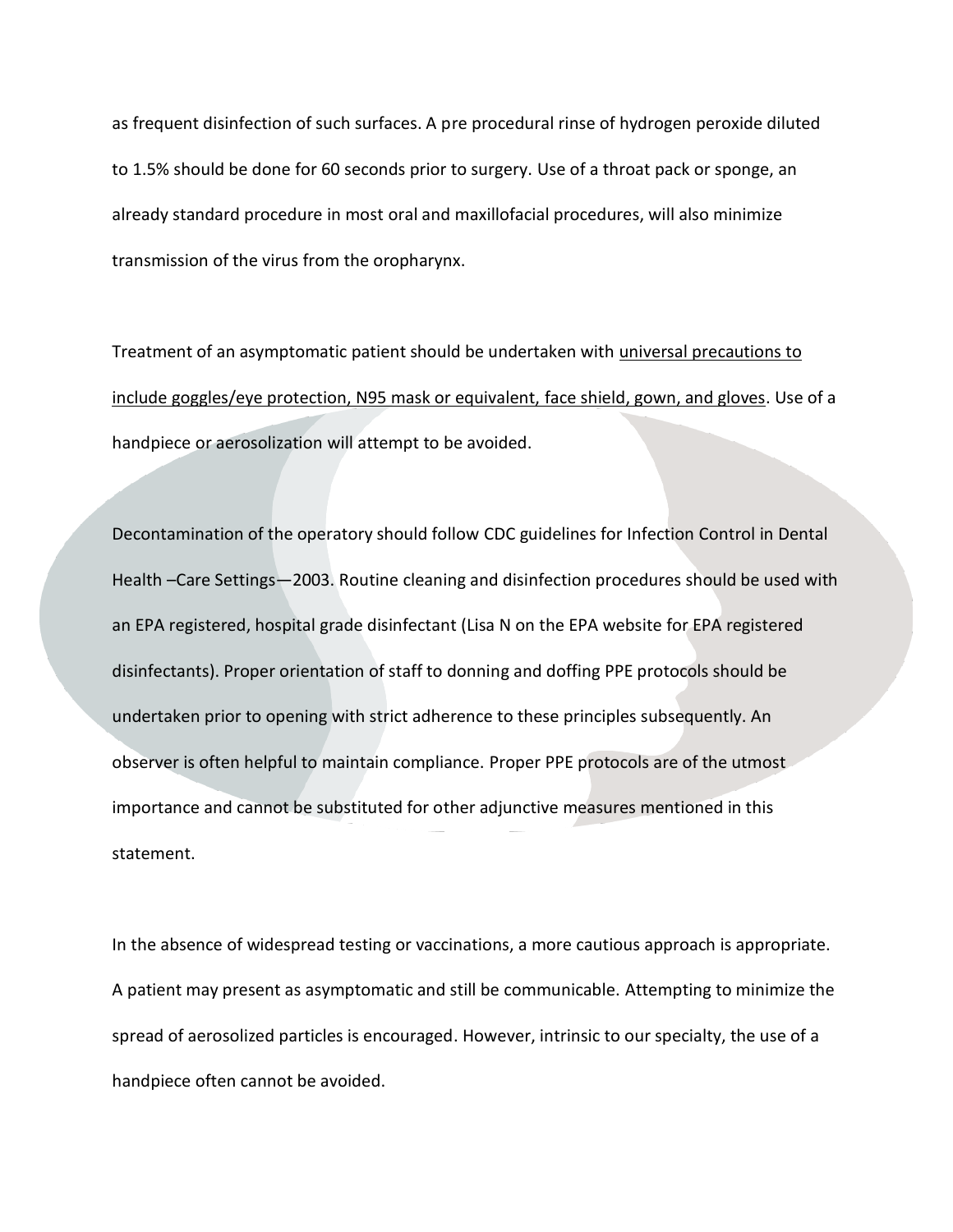as frequent disinfection of such surfaces. A pre procedural rinse of hydrogen peroxide diluted to 1.5% should be done for 60 seconds prior to surgery. Use of a throat pack or sponge, an already standard procedure in most oral and maxillofacial procedures, will also minimize transmission of the virus from the oropharynx.

Treatment of an asymptomatic patient should be undertaken with universal precautions to include goggles/eye protection, N95 mask or equivalent, face shield, gown, and gloves. Use of a handpiece or aerosolization will attempt to be avoided.

Decontamination of the operatory should follow CDC guidelines for Infection Control in Dental Health –Care Settings—2003. Routine cleaning and disinfection procedures should be used with an EPA registered, hospital grade disinfectant (Lisa N on the EPA website for EPA registered disinfectants). Proper orientation of staff to donning and doffing PPE protocols should be undertaken prior to opening with strict adherence to these principles subsequently. An observer is often helpful to maintain compliance. Proper PPE protocols are of the utmost importance and cannot be substituted for other adjunctive measures mentioned in this statement.

In the absence of widespread testing or vaccinations, a more cautious approach is appropriate. A patient may present as asymptomatic and still be communicable. Attempting to minimize the spread of aerosolized particles is encouraged. However, intrinsic to our specialty, the use of a handpiece often cannot be avoided.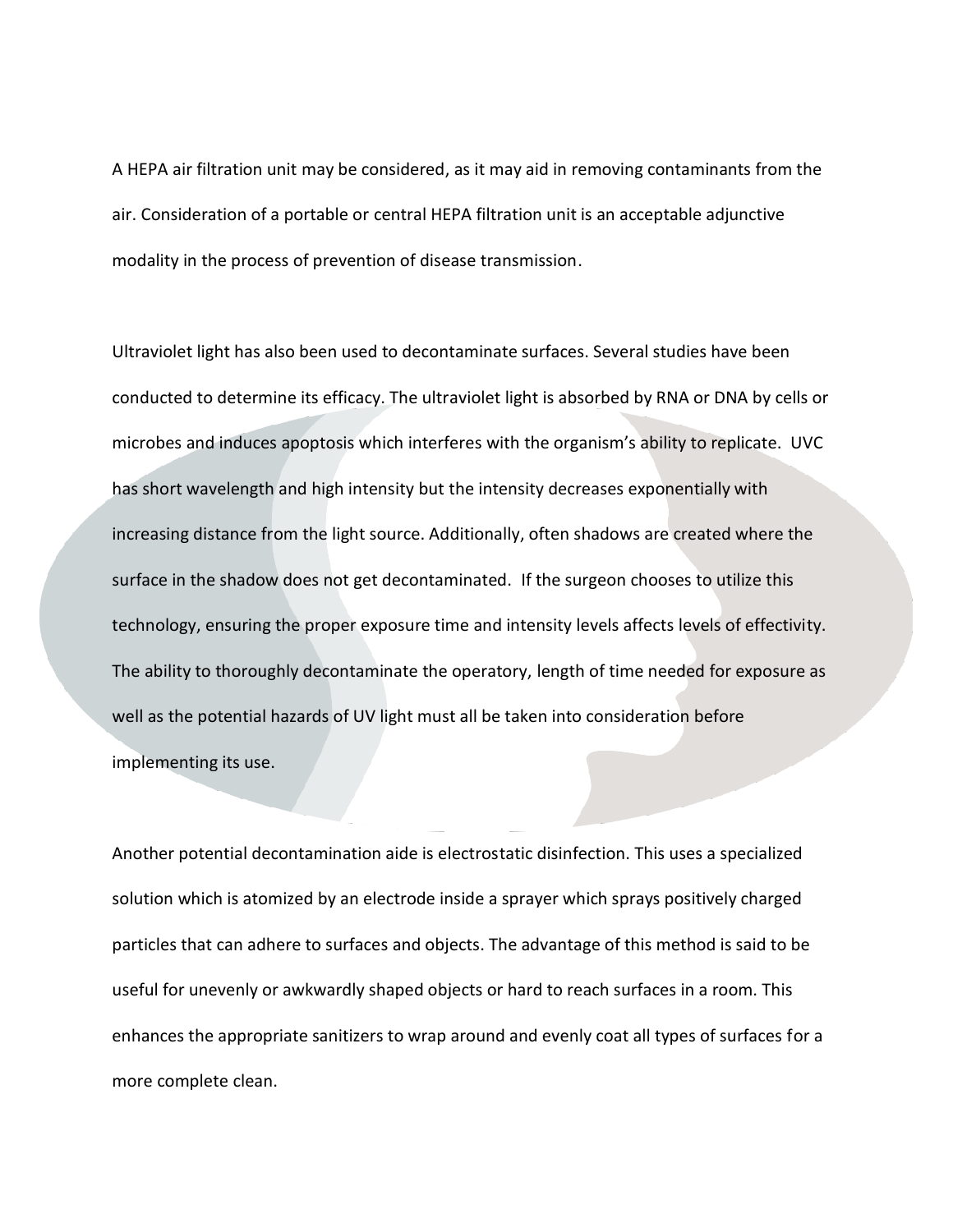A HEPA air filtration unit may be considered, as it may aid in removing contaminants from the air. Consideration of a portable or central HEPA filtration unit is an acceptable adjunctive modality in the process of prevention of disease transmission.

Ultraviolet light has also been used to decontaminate surfaces. Several studies have been conducted to determine its efficacy. The ultraviolet light is absorbed by RNA or DNA by cells or microbes and induces apoptosis which interferes with the organism's ability to replicate. UVC has short wavelength and high intensity but the intensity decreases exponentially with increasing distance from the light source. Additionally, often shadows are created where the surface in the shadow does not get decontaminated. If the surgeon chooses to utilize this technology, ensuring the proper exposure time and intensity levels affects levels of effectivity. The ability to thoroughly decontaminate the operatory, length of time needed for exposure as well as the potential hazards of UV light must all be taken into consideration before implementing its use.

Another potential decontamination aide is electrostatic disinfection. This uses a specialized solution which is atomized by an electrode inside a sprayer which sprays positively charged particles that can adhere to surfaces and objects. The advantage of this method is said to be useful for unevenly or awkwardly shaped objects or hard to reach surfaces in a room. This enhances the appropriate sanitizers to wrap around and evenly coat all types of surfaces for a more complete clean.